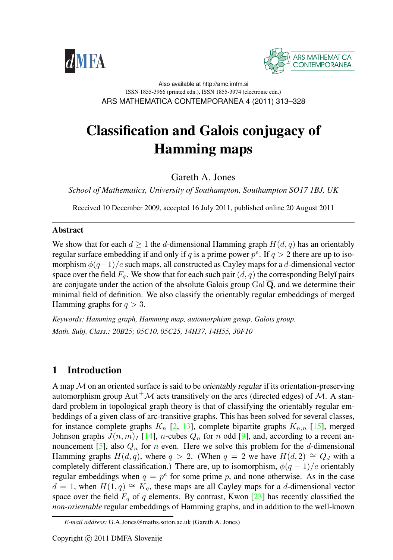



Also available at http://amc.imfm.si ISSN 1855-3966 (printed edn.), ISSN 1855-3974 (electronic edn.) ARS MATHEMATICA CONTEMPORANEA 4 (2011) 313–328

# Classification and Galois conjugacy of Hamming maps

Gareth A. Jones

*School of Mathematics, University of Southampton, Southampton SO17 1BJ, UK*

Received 10 December 2009, accepted 16 July 2011, published online 20 August 2011

#### **Abstract**

We show that for each  $d \geq 1$  the d-dimensional Hamming graph  $H(d, q)$  has an orientably regular surface embedding if and only if q is a prime power  $p^e$ . If  $q > 2$  there are up to isomorphism  $\phi(q-1)/e$  such maps, all constructed as Cayley maps for a d-dimensional vector space over the field  $F_q$ . We show that for each such pair  $(d, q)$  the corresponding Belyĭ pairs are conjugate under the action of the absolute Galois group  $Gal\overline{\mathbf{Q}}$ , and we determine their minimal field of definition. We also classify the orientably regular embeddings of merged Hamming graphs for  $q > 3$ .

*Keywords: Hamming graph, Hamming map, automorphism group, Galois group. Math. Subj. Class.: 20B25; 05C10, 05C25, 14H37, 14H55, 30F10*

### 1 Introduction

A map  $M$  on an oriented surface is said to be *orientably regular* if its orientation-preserving automorphism group Aut<sup>+</sup> $\mathcal M$  acts transitively on the arcs (directed edges) of  $\mathcal M$ . A standard problem in topological graph theory is that of classifying the orientably regular embeddings of a given class of arc-transitive graphs. This has been solved for several classes, for instance complete graphs  $K_n$  [\[2,](#page-14-0) [13\]](#page-14-1), complete bipartite graphs  $K_{n,n}$  [\[15\]](#page-15-0), merged Johnson graphs  $J(n, m)$ <sub>I</sub> [\[14\]](#page-14-2), *n*-cubes  $Q_n$  for *n* odd [\[9\]](#page-14-3), and, according to a recent an-nouncement [\[5\]](#page-14-4), also  $Q_n$  for n even. Here we solve this problem for the d-dimensional Hamming graphs  $H(d, q)$ , where  $q > 2$ . (When  $q = 2$  we have  $H(d, 2) \cong Q_d$  with a completely different classification.) There are, up to isomorphism,  $\phi(q-1)/e$  orientably regular embeddings when  $q = p^e$  for some prime p, and none otherwise. As in the case  $d = 1$ , when  $H(1, q) \cong K_q$ , these maps are all Cayley maps for a d-dimensional vector space over the field  $F_q$  of q elements. By contrast, Kwon [\[23\]](#page-15-1) has recently classified the *non-orientable* regular embeddings of Hamming graphs, and in addition to the well-known

*E-mail address:* G.A.Jones@maths.soton.ac.uk (Gareth A. Jones)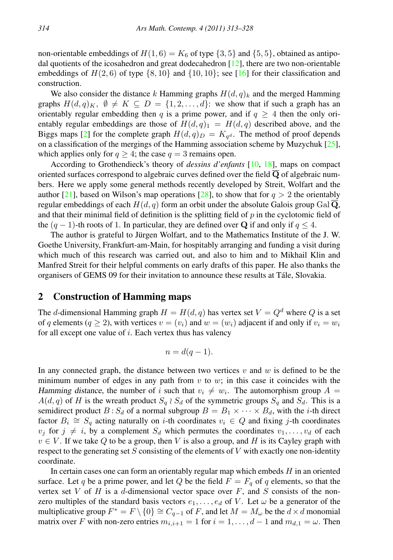non-orientable embeddings of  $H(1, 6) = K_6$  of type  $\{3, 5\}$  and  $\{5, 5\}$ , obtained as antipodal quotients of the icosahedron and great dodecahedron  $[12]$ , there are two non-orientable embeddings of  $H(2, 6)$  of type  $\{8, 10\}$  and  $\{10, 10\}$ ; see [\[16\]](#page-15-2) for their classification and construction.

We also consider the distance k Hamming graphs  $H(d, q)_k$  and the merged Hamming graphs  $H(d, q)_K$ ,  $\emptyset \neq K \subseteq D = \{1, 2, ..., d\}$ : we show that if such a graph has an orientably regular embedding then q is a prime power, and if  $q \geq 4$  then the only orientably regular embeddings are those of  $H(d, q)<sub>1</sub> = H(d, q)$  described above, and the Biggs maps [\[2\]](#page-14-0) for the complete graph  $H(d,q)_{D} = K_{q^d}$ . The method of proof depends on a classification of the mergings of the Hamming association scheme by Muzychuk [\[25\]](#page-15-3), which applies only for  $q \geq 4$ ; the case  $q = 3$  remains open.

According to Grothendieck's theory of *dessins d'enfants* [\[10,](#page-14-6) [18\]](#page-15-4), maps on compact oriented surfaces correspond to algebraic curves defined over the field  $\overline{Q}$  of algebraic numbers. Here we apply some general methods recently developed by Streit, Wolfart and the author [\[21\]](#page-15-5), based on Wilson's map operations [\[28\]](#page-15-6), to show that for  $q > 2$  the orientably regular embeddings of each  $H(d, q)$  form an orbit under the absolute Galois group Gal  $\mathbf{Q}$ , and that their minimal field of definition is the splitting field of  $p$  in the cyclotomic field of the  $(q - 1)$ -th roots of 1. In particular, they are defined over Q if and only if  $q \leq 4$ .

The author is grateful to Jürgen Wolfart, and to the Mathematics Institute of the J.W. Goethe University, Frankfurt-am-Main, for hospitably arranging and funding a visit during which much of this research was carried out, and also to him and to Mikhail Klin and Manfred Streit for their helpful comments on early drafts of this paper. He also thanks the organisers of GEMS 09 for their invitation to announce these results at Tale, Slovakia. ´

#### 2 Construction of Hamming maps

The d-dimensional Hamming graph  $H = H(d, q)$  has vertex set  $V = Q<sup>d</sup>$  where Q is a set of q elements ( $q \ge 2$ ), with vertices  $v = (v_i)$  and  $w = (w_i)$  adjacent if and only if  $v_i = w_i$ for all except one value of  $i$ . Each vertex thus has valency

$$
n = d(q-1).
$$

In any connected graph, the distance between two vertices  $v$  and  $w$  is defined to be the minimum number of edges in any path from  $v$  to  $w$ ; in this case it coincides with the Hamming distance, the number of i such that  $v_i \neq w_i$ . The automorphism group  $A =$  $A(d, q)$  of H is the wreath product  $S_q \wr S_d$  of the symmetric groups  $S_q$  and  $S_d$ . This is a semidirect product  $B : S_d$  of a normal subgroup  $B = B_1 \times \cdots \times B_d$ , with the *i*-th direct factor  $B_i \cong S_q$  acting naturally on *i*-th coordinates  $v_i \in Q$  and fixing *j*-th coordinates  $v_j$  for  $j \neq i$ , by a complement  $S_d$  which permutes the coordinates  $v_1, \ldots, v_d$  of each  $v \in V$ . If we take Q to be a group, then V is also a group, and H is its Cayley graph with respect to the generating set  $S$  consisting of the elements of  $V$  with exactly one non-identity coordinate.

In certain cases one can form an orientably regular map which embeds  $H$  in an oriented surface. Let q be a prime power, and let Q be the field  $F = F_q$  of q elements, so that the vertex set V of H is a d-dimensional vector space over  $F$ , and S consists of the nonzero multiples of the standard basis vectors  $e_1, \ldots, e_d$  of V. Let  $\omega$  be a generator of the multiplicative group  $F^* = F \setminus \{0\} \cong C_{q-1}$  of F, and let  $M = M_\omega$  be the  $d \times d$  monomial matrix over F with non-zero entries  $m_{i,i+1} = 1$  for  $i = 1, \ldots, d-1$  and  $m_{d,1} = \omega$ . Then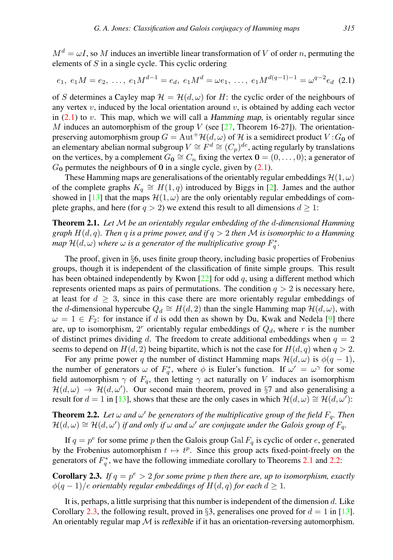$M^d = \omega I$ , so M induces an invertible linear transformation of V of order n, permuting the elements of  $S$  in a single cycle. This cyclic ordering

<span id="page-2-0"></span>
$$
e_1, e_1M = e_2, \ldots, e_1M^{d-1} = e_d, e_1M^d = \omega e_1, \ldots, e_1M^{d(q-1)-1} = \omega^{q-2}e_d
$$
 (2.1)

of S determines a Cayley map  $\mathcal{H} = \mathcal{H}(d,\omega)$  for H: the cyclic order of the neighbours of any vertex  $v$ , induced by the local orientation around  $v$ , is obtained by adding each vector in  $(2.1)$  to v. This map, which we will call a Hamming map, is orientably regular since M induces an automorphism of the group V (see  $[27,$  Theorem 16-27]). The orientationpreserving automorphism group  $G = \text{Aut}^+\mathcal{H}(d,\omega)$  of H is a semidirect product  $V:G_0$  of an elementary abelian normal subgroup  $V \cong F^d \cong (C_p)^{de}$ , acting regularly by translations on the vertices, by a complement  $G_0 \cong C_n$  fixing the vertex  $\mathbf{0} = (0, \dots, 0)$ ; a generator of  $G_0$  permutes the neighbours of 0 in a single cycle, given by  $(2.1)$ .

These Hamming maps are generalisations of the orientably regular embeddings  $\mathcal{H}(1,\omega)$ of the complete graphs  $K_q \cong H(1,q)$  introduced by Biggs in [\[2\]](#page-14-0). James and the author showed in [\[13\]](#page-14-1) that the maps  $\mathcal{H}(1,\omega)$  are the only orientably regular embeddings of complete graphs, and here (for  $q > 2$ ) we extend this result to all dimensions  $d \ge 1$ :

<span id="page-2-1"></span>Theorem 2.1. *Let* M *be an orientably regular embedding of the* d*-dimensional Hamming graph* H(d, q)*. Then* q *is a prime power, and if* q > 2 *then* M *is isomorphic to a Hamming map*  $\mathcal{H}(d,\omega)$  where  $\omega$  is a generator of the multiplicative group  $F_q^*$ .

The proof, given in §6, uses finite group theory, including basic properties of Frobenius groups, though it is independent of the classification of finite simple groups. This result has been obtained independently by Kwon  $[22]$  for odd q, using a different method which represents oriented maps as pairs of permutations. The condition  $q > 2$  is necessary here, at least for  $d \geq 3$ , since in this case there are more orientably regular embeddings of the d-dimensional hypercube  $Q_d \cong H(d, 2)$  than the single Hamming map  $\mathcal{H}(d, \omega)$ , with  $\omega = 1 \in F_2$ : for instance if d is odd then as shown by Du, Kwak and Nedela [\[9\]](#page-14-3) there are, up to isomorphism,  $2<sup>r</sup>$  orientably regular embeddings of  $Q<sub>d</sub>$ , where r is the number of distinct primes dividing d. The freedom to create additional embeddings when  $q = 2$ seems to depend on  $H(d, 2)$  being bipartite, which is not the case for  $H(d, q)$  when  $q > 2$ .

For any prime power q the number of distinct Hamming maps  $\mathcal{H}(d,\omega)$  is  $\phi(q-1)$ , the number of generators  $\omega$  of  $F_q^*$ , where  $\phi$  is Euler's function. If  $\omega' = \omega^\gamma$  for some field automorphism  $\gamma$  of  $F_q$ , then letting  $\gamma$  act naturally on V induces an isomorphism  $\mathcal{H}(d,\omega) \to \mathcal{H}(d,\omega')$ . Our second main theorem, proved in §7 and also generalising a result for  $d = 1$  in [\[13\]](#page-14-1), shows that these are the only cases in which  $\mathcal{H}(d,\omega) \cong \mathcal{H}(d,\omega')$ :

<span id="page-2-2"></span>**Theorem 2.2.** Let  $\omega$  and  $\omega'$  be generators of the multiplicative group of the field  $F_q$ . Then  $\mathcal{H}(d,\omega) \cong \mathcal{H}(d,\omega')$  if and only if  $\omega$  and  $\omega'$  are conjugate under the Galois group of  $F_q$ .

If  $q = p^e$  for some prime p then the Galois group Gal  $F_q$  is cyclic of order e, generated by the Frobenius automorphism  $t \mapsto t^p$ . Since this group acts fixed-point-freely on the generators of  $F_q^*$ , we have the following immediate corollary to Theorems [2.1](#page-2-1) and [2.2:](#page-2-2)

<span id="page-2-3"></span>**Corollary 2.3.** If  $q = p^e > 2$  for some prime p then there are, up to isomorphism, exactly  $\phi(q-1)/e$  *orientably regular embeddings of*  $H(d,q)$  *for each*  $d \geq 1$ *.* 

It is, perhaps, a little surprising that this number is independent of the dimension  $d$ . Like Corollary [2.3,](#page-2-3) the following result, proved in §3, generalises one proved for  $d = 1$  in [\[13\]](#page-14-1). An orientably regular map  $\mathcal M$  is reflexible if it has an orientation-reversing automorphism.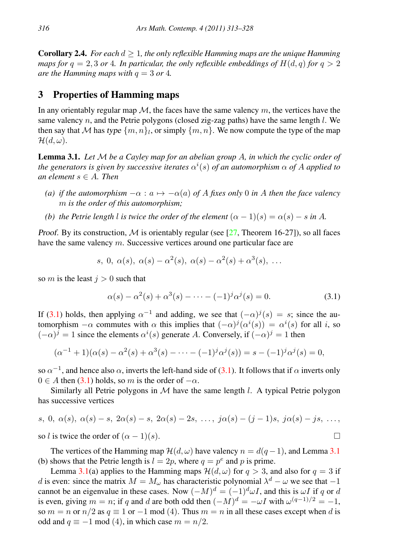<span id="page-3-2"></span>**Corollary 2.4.** *For each*  $d \geq 1$ *, the only reflexible Hamming maps are the unique Hamming maps for*  $q = 2, 3$  *or* 4*. In particular, the only reflexible embeddings of*  $H(d, q)$  *for*  $q > 2$ *are the Hamming maps with*  $q = 3$  *or* 4*.* 

## 3 Properties of Hamming maps

In any orientably regular map  $M$ , the faces have the same valency  $m$ , the vertices have the same valency  $n$ , and the Petrie polygons (closed zig-zag paths) have the same length  $l$ . We then say that M has type  $\{m, n\}$ , or simply  $\{m, n\}$ . We now compute the type of the map  $\mathcal{H}(d,\omega)$ .

<span id="page-3-1"></span>Lemma 3.1. *Let* M *be a Cayley map for an abelian group* A*, in which the cyclic order of the generators is given by successive iterates*  $\alpha^{i}(s)$  *of an automorphism*  $\alpha$  *of* A applied to *an element* s ∈ A*. Then*

- *(a) if the automorphism*  $-\alpha$  :  $a \mapsto -\alpha(a)$  *of A fixes only* 0 *in A then the face valency* m *is the order of this automorphism;*
- *(b) the Petrie length l is twice the order of the element*  $(\alpha 1)(s) = \alpha(s) s$  *in* A.

Proof. By its construction, M is orientably regular (see [\[27,](#page-15-7) Theorem 16-27]), so all faces have the same valency m. Successive vertices around one particular face are

$$
s, 0, \alpha(s), \alpha(s) - \alpha^2(s), \alpha(s) - \alpha^2(s) + \alpha^3(s), \ldots
$$

so m is the least  $j > 0$  such that

<span id="page-3-0"></span>
$$
\alpha(s) - \alpha^2(s) + \alpha^3(s) - \dots - (-1)^j \alpha^j(s) = 0.
$$
 (3.1)

If [\(3.1\)](#page-3-0) holds, then applying  $\alpha^{-1}$  and adding, we see that  $(-\alpha)^{j}(s) = s$ ; since the automorphism  $-\alpha$  commutes with  $\alpha$  this implies that  $(-\alpha)^{j}(\alpha^{i}(s)) = \alpha^{i}(s)$  for all i, so  $(-\alpha)^j = 1$  since the elements  $\alpha^i(s)$  generate A. Conversely, if  $(-\alpha)^j = 1$  then

$$
(\alpha^{-1} + 1)(\alpha(s) - \alpha^2(s) + \alpha^3(s) - \dots - (-1)^j \alpha^j(s)) = s - (-1)^j \alpha^j(s) = 0,
$$

so  $\alpha^{-1}$ , and hence also  $\alpha$ , inverts the left-hand side of [\(3.1\)](#page-3-0). It follows that if  $\alpha$  inverts only  $0 \in A$  then [\(3.1\)](#page-3-0) holds, so m is the order of  $-\alpha$ .

Similarly all Petrie polygons in  $M$  have the same length  $l$ . A typical Petrie polygon has successive vertices

s, 0, 
$$
\alpha(s)
$$
,  $\alpha(s) - s$ ,  $2\alpha(s) - s$ ,  $2\alpha(s) - 2s$ , ...,  $j\alpha(s) - (j - 1)s$ ,  $j\alpha(s) - js$ , ...,  
so *l* is twice the order of  $(\alpha - 1)(s)$ .

The vertices of the Hamming map  $\mathcal{H}(d,\omega)$  have valency  $n = d(q-1)$ , and Lemma [3.1](#page-3-1) (b) shows that the Petrie length is  $l = 2p$ , where  $q = p^e$  and p is prime.

Lemma [3.1\(](#page-3-1)a) applies to the Hamming maps  $\mathcal{H}(d,\omega)$  for  $q > 3$ , and also for  $q = 3$  if d is even: since the matrix  $M = M_{\omega}$  has characteristic polynomial  $\lambda^d - \omega$  we see that  $-1$ cannot be an eigenvalue in these cases. Now  $(-M)^d = (-1)^d \omega I$ , and this is  $\omega I$  if q or d is even, giving  $m = n$ ; if q and d are both odd then  $(-M)^d = -\omega I$  with  $\omega^{(q-1)/2} = -1$ , so  $m = n$  or  $n/2$  as  $q \equiv 1$  or  $-1$  mod (4). Thus  $m = n$  in all these cases except when d is odd and  $q \equiv -1 \mod(4)$ , in which case  $m = n/2$ .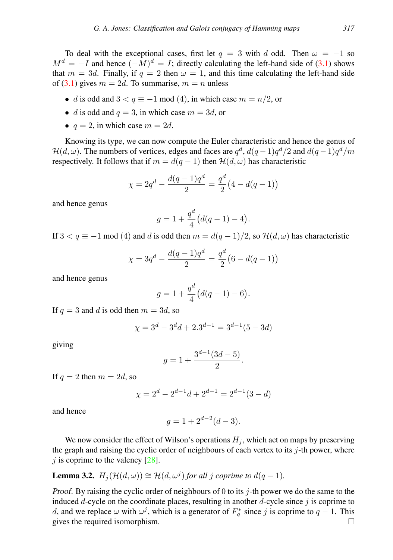To deal with the exceptional cases, first let  $q = 3$  with d odd. Then  $\omega = -1$  so  $M^d = -I$  and hence  $(-M)^d = I$ ; directly calculating the left-hand side of [\(3.1\)](#page-3-0) shows that  $m = 3d$ . Finally, if  $q = 2$  then  $\omega = 1$ , and this time calculating the left-hand side of [\(3.1\)](#page-3-0) gives  $m = 2d$ . To summarise,  $m = n$  unless

- d is odd and  $3 < q \equiv -1 \mod(4)$ , in which case  $m = n/2$ , or
- d is odd and  $q = 3$ , in which case  $m = 3d$ , or
- $q = 2$ , in which case  $m = 2d$ .

Knowing its type, we can now compute the Euler characteristic and hence the genus of  $\mathcal{H}(d,\omega)$ . The numbers of vertices, edges and faces are  $q^d$ ,  $d(q-1)q^d/2$  and  $d(q-1)q^d/m$ respectively. It follows that if  $m = d(q - 1)$  then  $\mathcal{H}(d, \omega)$  has characteristic

$$
\chi = 2q^d - \frac{d(q-1)q^d}{2} = \frac{q^d}{2}(4 - d(q-1))
$$

and hence genus

$$
g = 1 + \frac{q^d}{4} \left( d(q-1) - 4 \right).
$$

If  $3 < q \equiv -1 \mod(4)$  and d is odd then  $m = d(q-1)/2$ , so  $\mathcal{H}(d,\omega)$  has characteristic

$$
\chi = 3q^d - \frac{d(q-1)q^d}{2} = \frac{q^d}{2}(6 - d(q-1))
$$

and hence genus

$$
g = 1 + \frac{q^d}{4} \big( d(q-1) - 6 \big).
$$

If  $q = 3$  and d is odd then  $m = 3d$ , so

$$
\chi = 3^d - 3^d d + 2 \cdot 3^{d-1} = 3^{d-1} (5 - 3d)
$$

giving

$$
g = 1 + \frac{3^{d-1}(3d-5)}{2}.
$$

If  $q = 2$  then  $m = 2d$ , so

$$
\chi = 2^d - 2^{d-1}d + 2^{d-1} = 2^{d-1}(3 - d)
$$

and hence

$$
g = 1 + 2^{d-2}(d-3).
$$

We now consider the effect of Wilson's operations  $H_j$ , which act on maps by preserving the graph and raising the cyclic order of neighbours of each vertex to its  $j$ -th power, where  $j$  is coprime to the valency [\[28\]](#page-15-6).

<span id="page-4-0"></span>**Lemma 3.2.** 
$$
H_j(\mathcal{H}(d,\omega)) \cong \mathcal{H}(d,\omega^j)
$$
 for all j coprime to  $d(q-1)$ .

Proof. By raising the cyclic order of neighbours of 0 to its  $j$ -th power we do the same to the induced  $d$ -cycle on the coordinate places, resulting in another  $d$ -cycle since  $j$  is coprime to d, and we replace  $\omega$  with  $\omega^j$ , which is a generator of  $F_q^*$  since j is coprime to  $q-1$ . This gives the required isomorphism.  $\Box$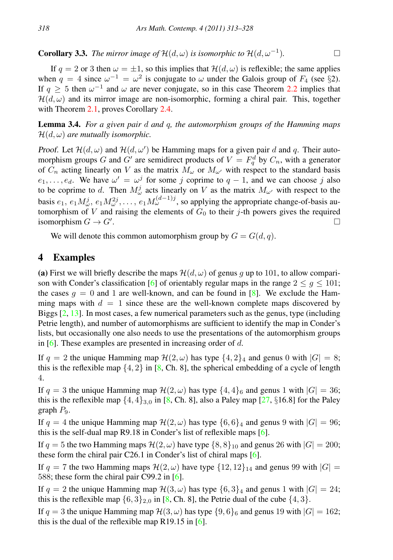**Corollary 3.3.** *The mirror image of*  $\mathcal{H}(d,\omega)$  *is isomorphic to*  $\mathcal{H}(d,\omega^{-1})$ *.* )*.*

If  $q = 2$  or 3 then  $\omega = \pm 1$ , so this implies that  $\mathcal{H}(d, \omega)$  is reflexible; the same applies when  $q = 4$  since  $\omega^{-1} = \omega^2$  is conjugate to  $\omega$  under the Galois group of  $F_4$  (see §2). If  $q \ge 5$  then  $\omega^{-1}$  and  $\omega$  are never conjugate, so in this case Theorem [2.2](#page-2-2) implies that  $\mathcal{H}(d,\omega)$  and its mirror image are non-isomorphic, forming a chiral pair. This, together with Theorem [2.1,](#page-2-1) proves Corollary [2.4.](#page-3-2)

Lemma 3.4. *For a given pair* d *and* q*, the automorphism groups of the Hamming maps*  $\mathcal{H}(d,\omega)$  are mutually isomorphic.

Proof. Let  $\mathcal{H}(d,\omega)$  and  $\mathcal{H}(d,\omega')$  be Hamming maps for a given pair d and q. Their automorphism groups G and G' are semidirect products of  $V = F_q^d$  by  $C_n$ , with a generator of  $C_n$  acting linearly on V as the matrix  $M_\omega$  or  $M_{\omega'}$  with respect to the standard basis  $e_1, \ldots, e_d$ . We have  $\omega' = \omega^j$  for some j coprime to  $q - 1$ , and we can choose j also to be coprime to d. Then  $M^j_\omega$  acts linearly on V as the matrix  $M_{\omega'}$  with respect to the basis  $e_1, e_1 M^j_\omega, e_1 M^{2j}_\omega, \dots, e_1 M^{(d-1)j}_\omega$ , so applying the appropriate change-of-basis automorphism of V and raising the elements of  $G_0$  to their j-th powers gives the required isomorphism  $G \to G'$ . isomorphism  $G \to G'$ . .

We will denote this common automorphism group by  $G = G(d, q)$ .

#### 4 Examples

(a) First we will briefly describe the maps  $\mathcal{H}(d,\omega)$  of genus g up to 101, to allow compari-son with Conder's classification [\[6\]](#page-14-7) of orientably regular maps in the range  $2 \le q \le 101$ ; the cases  $q = 0$  and 1 are well-known, and can be found in [\[8\]](#page-14-8). We exclude the Hamming maps with  $d = 1$  since these are the well-known complete maps discovered by Biggs  $[2, 13]$  $[2, 13]$  $[2, 13]$ . In most cases, a few numerical parameters such as the genus, type (including Petrie length), and number of automorphisms are sufficient to identify the map in Conder's lists, but occasionally one also needs to use the presentations of the automorphism groups in [\[6\]](#page-14-7). These examples are presented in increasing order of d.

If  $q = 2$  the unique Hamming map  $\mathcal{H}(2, \omega)$  has type  $\{4, 2\}_4$  and genus 0 with  $|G| = 8$ ; this is the reflexible map  $\{4, 2\}$  in [\[8,](#page-14-8) Ch. 8], the spherical embedding of a cycle of length 4.

If  $q = 3$  the unique Hamming map  $\mathcal{H}(2,\omega)$  has type  $\{4,4\}_6$  and genus 1 with  $|G| = 36$ ; this is the reflexible map  $\{4, 4\}_{3,0}$  in [\[8,](#page-14-8) Ch. 8], also a Paley map [\[27,](#page-15-7) §16.8] for the Paley graph  $P_9$ .

If  $q = 4$  the unique Hamming map  $\mathcal{H}(2, \omega)$  has type  $\{6, 6\}_4$  and genus 9 with  $|G| = 96$ ; this is the self-dual map R9.18 in Conder's list of reflexible maps [\[6\]](#page-14-7).

If  $q = 5$  the two Hamming maps  $\mathcal{H}(2,\omega)$  have type  $\{8, 8\}_{10}$  and genus 26 with  $|G| = 200$ ; these form the chiral pair C26.1 in Conder's list of chiral maps  $[6]$ .

If  $q = 7$  the two Hamming maps  $\mathcal{H}(2,\omega)$  have type  $\{12, 12\}_{14}$  and genus 99 with  $|G| =$ 588; these form the chiral pair C99.2 in [\[6\]](#page-14-7).

If  $q = 2$  the unique Hamming map  $\mathcal{H}(3,\omega)$  has type  $\{6,3\}_4$  and genus 1 with  $|G| = 24$ ; this is the reflexible map  $\{6, 3\}_{2,0}$  in [\[8,](#page-14-8) Ch. 8], the Petrie dual of the cube  $\{4, 3\}$ .

If  $q = 3$  the unique Hamming map  $\mathcal{H}(3,\omega)$  has type  $\{9,6\}_6$  and genus 19 with  $|G| = 162$ ; this is the dual of the reflexible map R19.15 in  $[6]$ .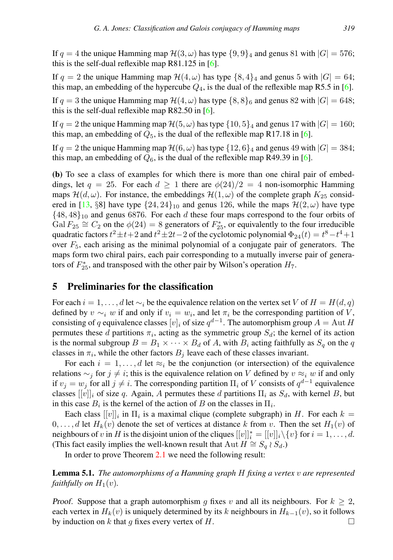If  $q = 4$  the unique Hamming map  $\mathcal{H}(3,\omega)$  has type  $\{9,9\}_4$  and genus 81 with  $|G| = 576$ ; this is the self-dual reflexible map  $R81.125$  in [\[6\]](#page-14-7).

If  $q = 2$  the unique Hamming map  $\mathcal{H}(4,\omega)$  has type  $\{8, 4\}_4$  and genus 5 with  $|G| = 64$ ; this map, an embedding of the hypercube  $Q_4$ , is the dual of the reflexible map R5.5 in [\[6\]](#page-14-7).

If  $q = 3$  the unique Hamming map  $\mathcal{H}(4,\omega)$  has type  $\{8, 8\}$  and genus 82 with  $|G| = 648$ ; this is the self-dual reflexible map R82.50 in [\[6\]](#page-14-7).

If  $q = 2$  the unique Hamming map  $\mathcal{H}(5, \omega)$  has type  $\{10, 5\}$  and genus 17 with  $|G| = 160$ ; this map, an embedding of  $Q_5$ , is the dual of the reflexible map R17.18 in [\[6\]](#page-14-7).

If  $q = 2$  the unique Hamming map  $\mathcal{H}(6, \omega)$  has type  $\{12, 6\}$  and genus 49 with  $|G| = 384$ ; this map, an embedding of  $Q_6$ , is the dual of the reflexible map R49.39 in [\[6\]](#page-14-7).

(b) To see a class of examples for which there is more than one chiral pair of embeddings, let  $q = 25$ . For each  $d \ge 1$  there are  $\phi(24)/2 = 4$  non-isomorphic Hamming maps  $\mathcal{H}(d,\omega)$ . For instance, the embeddings  $\mathcal{H}(1,\omega)$  of the complete graph  $K_{25}$  consid-ered in [\[13,](#page-14-1) §8] have type  $\{24, 24\}_{10}$  and genus 126, while the maps  $\mathcal{H}(2, \omega)$  have type  $\{48, 48\}_{10}$  and genus 6876. For each d these four maps correspond to the four orbits of Gal  $F_{25} \cong C_2$  on the  $\phi(24) = 8$  generators of  $F_{25}^*$ , or equivalently to the four irreducible quadratic factors  $t^2 \pm t + 2$  and  $t^2 \pm 2t - 2$  of the cyclotomic polynomial  $\Phi_{24}(t) = t^8 - t^4 + 1$ over  $F_5$ , each arising as the minimal polynomial of a conjugate pair of generators. The maps form two chiral pairs, each pair corresponding to a mutually inverse pair of generators of  $F_{25}^*$ , and transposed with the other pair by Wilson's operation  $H_7$ .

#### 5 Preliminaries for the classification

For each  $i = 1, \ldots, d$  let  $\sim_i$  be the equivalence relation on the vertex set V of  $H = H(d, q)$ defined by  $v \sim_i w$  if and only if  $v_i = w_i$ , and let  $\pi_i$  be the corresponding partition of V, consisting of q equivalence classes  $[v]_i$  of size  $q^{d-1}$ . The automorphism group  $A = \text{Aut } H$ permutes these d partitions  $\pi_i$ , acting as the symmetric group  $S_d$ ; the kernel of its action is the normal subgroup  $B = B_1 \times \cdots \times B_d$  of A, with  $B_i$  acting faithfully as  $S_q$  on the q classes in  $\pi_i$ , while the other factors  $B_j$  leave each of these classes invariant.

For each  $i = 1, \ldots, d$  let  $\approx_i$  be the conjunction (or intersection) of the equivalence relations  $\sim_i$  for  $j \neq i$ ; this is the equivalence relation on V defined by  $v \approx_i w$  if and only if  $v_j = w_j$  for all  $j \neq i$ . The corresponding partition  $\Pi_i$  of V consists of  $q^{d-1}$  equivalence classes  $[[v]]_i$  of size q. Again, A permutes these d partitions  $\Pi_i$  as  $S_d$ , with kernel B, but in this case  $B_i$  is the kernel of the action of B on the classes in  $\Pi_i$ .

Each class  $[[v]]_i$  in  $\Pi_i$  is a maximal clique (complete subgraph) in H. For each  $k =$  $0, \ldots, d$  let  $H_k(v)$  denote the set of vertices at distance k from v. Then the set  $H_1(v)$  of neighbours of v in H is the disjoint union of the cliques  $[[v]]_i^* = [[v]]_i \setminus \{v\}$  for  $i = 1, ..., d$ . (This fact easily implies the well-known result that Aut  $H \cong S_q \wr S_d$ .)

In order to prove Theorem [2.1](#page-2-1) we need the following result:

<span id="page-6-0"></span>Lemma 5.1. *The automorphisms of a Hamming graph* H *fixing a vertex* v *are represented faithfully on*  $H_1(v)$ *.* 

Proof. Suppose that a graph automorphism g fixes v and all its neighbours. For  $k \geq 2$ , each vertex in  $H_k(v)$  is uniquely determined by its k neighbours in  $H_{k-1}(v)$ , so it follows by induction on k that g fixes every vertex of H.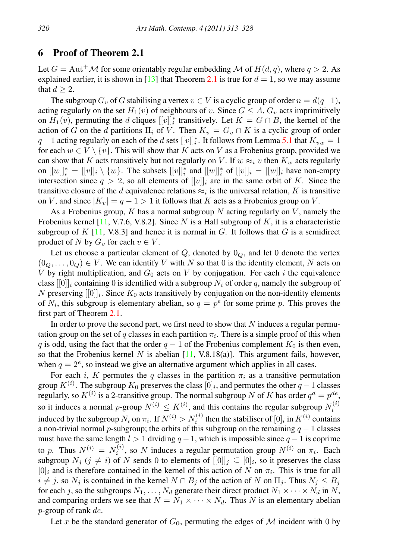#### 6 Proof of Theorem 2.1

Let  $G = \text{Aut}^+ \mathcal{M}$  for some orientably regular embedding  $\mathcal{M}$  of  $H(d, q)$ , where  $q > 2$ . As explained earlier, it is shown in [\[13\]](#page-14-1) that Theorem [2.1](#page-2-1) is true for  $d = 1$ , so we may assume that  $d \geq 2$ .

The subgroup  $G_v$  of G stabilising a vertex  $v \in V$  is a cyclic group of order  $n = d(q-1)$ , acting regularly on the set  $H_1(v)$  of neighbours of v. Since  $G \leq A$ ,  $G_v$  acts imprimitively on  $H_1(v)$ , permuting the d cliques  $[[v]]_i^*$  transitively. Let  $K = G \cap B$ , the kernel of the action of G on the d partitions  $\Pi_i$  of V. Then  $K_v = G_v \cap K$  is a cyclic group of order  $q-1$  acting regularly on each of the  $d$  sets  $[[v]]$ <sup>\*</sup><sub>i</sub>. It follows from Lemma [5.1](#page-6-0) that  $K_{vw} = 1$ for each  $w \in V \setminus \{v\}$ . This will show that K acts on V as a Frobenius group, provided we can show that K acts transitively but not regularly on V. If  $w \approx_i v$  then  $K_w$  acts regularly on  $[[w]]_i^* = [[v]]_i \setminus \{w\}$ . The subsets  $[[v]]_i^*$  and  $[[w]]_i^*$  of  $[[v]]_i = [[w]]_i$  have non-empty intersection since  $q > 2$ , so all elements of  $[[v]]_i$  are in the same orbit of K. Since the transitive closure of the *d* equivalence relations  $\approx_i$  is the universal relation, *K* is transitive on V, and since  $|K_v| = q - 1 > 1$  it follows that K acts as a Frobenius group on V.

As a Frobenius group,  $K$  has a normal subgroup  $N$  acting regularly on  $V$ , namely the Frobenius kernel [\[11,](#page-14-9) V.7.6, V.8.2]. Since N is a Hall subgroup of K, it is a characteristic subgroup of  $K$  [\[11,](#page-14-9) V.8.3] and hence it is normal in G. It follows that G is a semidirect product of N by  $G_v$  for each  $v \in V$ .

Let us choose a particular element of  $Q$ , denoted by  $0_Q$ , and let 0 denote the vertex  $(0_Q, \ldots, 0_Q) \in V$ . We can identify V with N so that 0 is the identity element, N acts on V by right multiplication, and  $G_0$  acts on V by conjugation. For each i the equivalence class  $[0]_i$  containing 0 is identified with a subgroup  $N_i$  of order q, namely the subgroup of N preserving  $[[0]]_i$ . Since  $K_0$  acts transitively by conjugation on the non-identity elements of  $N_i$ , this subgroup is elementary abelian, so  $q = p^e$  for some prime p. This proves the first part of Theorem [2.1.](#page-2-1)

In order to prove the second part, we first need to show that  $N$  induces a regular permutation group on the set of q classes in each partition  $\pi_i$ . There is a simple proof of this when q is odd, using the fact that the order  $q - 1$  of the Frobenius complement  $K_0$  is then even, so that the Frobenius kernel N is abelian  $[11, V.8.18(a)]$  $[11, V.8.18(a)]$ . This argument fails, however, when  $q = 2^e$ , so instead we give an alternative argument which applies in all cases.

For each i, K permutes the q classes in the partition  $\pi_i$  as a transitive permutation group  $K^{(i)}$ . The subgroup  $K_0$  preserves the class  $[0]_i$ , and permutes the other  $q-1$  classes regularly, so  $K^{(i)}$  is a 2-transitive group. The normal subgroup N of K has order  $q^d = p^{de}$ , so it induces a normal p-group  $N^{(i)} \leq K^{(i)}$ , and this contains the regular subgroup  $N_i^{(i)}$ induced by the subgroup  $N_i$  on  $\pi_i$ . If  $N^{(i)} > N_i^{(i)}$  then the stabiliser of  $[0]_i$  in  $K^{(i)}$  contains a non-trivial normal p-subgroup; the orbits of this subgroup on the remaining  $q - 1$  classes must have the same length  $l > 1$  dividing  $q - 1$ , which is impossible since  $q - 1$  is coprime to p. Thus  $N^{(i)} = N_i^{(i)}$ , so N induces a regular permutation group  $N^{(i)}$  on  $\pi_i$ . Each subgroup  $N_j$   $(j \neq i)$  of N sends 0 to elements of  $[[0]]_j \subseteq [0]_i$ , so it preserves the class  $[0]_i$  and is therefore contained in the kernel of this action of N on  $\pi_i$ . This is true for all  $i \neq j$ , so  $N_j$  is contained in the kernel  $N \cap B_j$  of the action of N on  $\Pi_j$ . Thus  $N_j \leq B_j$ for each j, so the subgroups  $N_1, \ldots, N_d$  generate their direct product  $N_1 \times \cdots \times N_d$  in N, and comparing orders we see that  $N = N_1 \times \cdots \times N_d$ . Thus N is an elementary abelian  $p$ -group of rank  $de$ .

Let x be the standard generator of  $G_0$ , permuting the edges of M incident with 0 by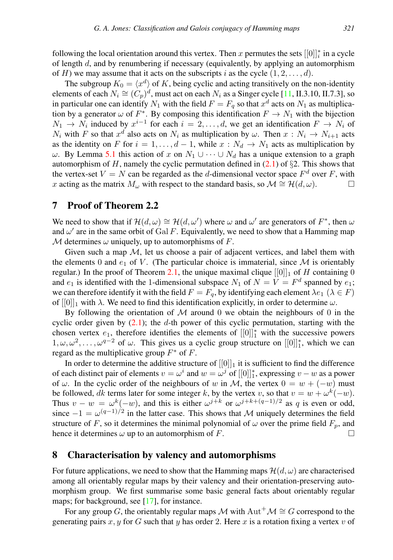following the local orientation around this vertex. Then x permutes the sets  $[[0]]$ <sup>\*</sup> in a cycle of length  $d$ , and by renumbering if necessary (equivalently, by applying an automorphism of H) we may assume that it acts on the subscripts i as the cycle  $(1, 2, \ldots, d)$ .

The subgroup  $K_0 = \langle x^d \rangle$  of K, being cyclic and acting transitively on the non-identity elements of each  $N_i \cong (C_p)^d$ , must act on each  $N_i$  as a Singer cycle [\[11,](#page-14-9) II.3.10, II.7.3], so in particular one can identify  $N_1$  with the field  $F = F_q$  so that  $x^d$  acts on  $N_1$  as multiplication by a generator  $\omega$  of  $F^*$ . By composing this identification  $F \to N_1$  with the bijection  $N_1 \rightarrow N_i$  induced by  $x^{i-1}$  for each  $i = 2, \ldots, d$ , we get an identification  $F \rightarrow N_i$  of  $N_i$  with F so that  $x^d$  also acts on  $N_i$  as multiplication by  $\omega$ . Then  $x : N_i \to N_{i+1}$  acts as the identity on F for  $i = 1, \ldots, d - 1$ , while  $x : N_d \to N_1$  acts as multiplication by  $ω$ . By Lemma [5.1](#page-6-0) this action of x on  $N_1 ∪ ⋯ ∪ N_d$  has a unique extension to a graph automorphism of  $H$ , namely the cyclic permutation defined in [\(2.1\)](#page-2-0) of §2. This shows that the vertex-set  $V = N$  can be regarded as the d-dimensional vector space  $F<sup>d</sup>$  over F, with x acting as the matrix  $M_{\omega}$  with respect to the standard basis, so  $\mathcal{M} \cong \mathcal{H}(d, \omega)$ .

#### 7 Proof of Theorem 2.2

We need to show that if  $\mathcal{H}(d,\omega) \cong \mathcal{H}(d,\omega')$  where  $\omega$  and  $\omega'$  are generators of  $F^*$ , then  $\omega$ and  $\omega'$  are in the same orbit of Gal F. Equivalently, we need to show that a Hamming map M determines  $\omega$  uniquely, up to automorphisms of F.

Given such a map  $M$ , let us choose a pair of adjacent vertices, and label them with the elements 0 and  $e_1$  of V. (The particular choice is immaterial, since M is orientably regular.) In the proof of Theorem [2.1,](#page-2-1) the unique maximal clique  $[[0]]_1$  of H containing 0 and  $e_1$  is identified with the 1-dimensional subspace  $N_1$  of  $N = V = F^d$  spanned by  $e_1$ ; we can therefore identify it with the field  $F = F_q$ , by identifying each element  $\lambda e_1$  ( $\lambda \in F$ ) of  $[[0]]_1$  with  $\lambda$ . We need to find this identification explicitly, in order to determine  $\omega$ .

By following the orientation of  $M$  around 0 we obtain the neighbours of 0 in the cyclic order given by  $(2.1)$ ; the d-th power of this cyclic permutation, starting with the chosen vertex  $e_1$ , therefore identifies the elements of  $[[0]]_1^*$  with the successive powers  $1, \omega, \omega^2, \ldots, \omega^{q-2}$  of  $\omega$ . This gives us a cyclic group structure on  $[[0]]_1^*$ , which we can regard as the multiplicative group  $F^*$  of F.

In order to determine the additive structure of  $[[0]]_1$  it is sufficient to find the difference of each distinct pair of elements  $v = \omega^i$  and  $w = \omega^j$  of  $[[0]]_1^*$ , expressing  $v - w$  as a power of  $\omega$ . In the cyclic order of the neighbours of w in M, the vertex  $0 = w + (-w)$  must be followed, dk terms later for some integer k, by the vertex v, so that  $v = w + \omega^k(-w)$ . Thus  $v - w = \omega^k(-w)$ , and this is either  $\omega^{j+k}$  or  $\omega^{j+k+(q-1)/2}$  as q is even or odd, since  $-1 = \omega^{(q-1)/2}$  in the latter case. This shows that M uniquely determines the field structure of F, so it determines the minimal polynomial of  $\omega$  over the prime field  $F_p$ , and hence it determines  $\omega$  up to an automorphism of F.

#### 8 Characterisation by valency and automorphisms

For future applications, we need to show that the Hamming maps  $\mathcal{H}(d,\omega)$  are characterised among all orientably regular maps by their valency and their orientation-preserving automorphism group. We first summarise some basic general facts about orientably regular maps; for background, see [\[17\]](#page-15-9), for instance.

For any group G, the orientably regular maps M with  $\text{Aut}^+\mathcal{M} \cong G$  correspond to the generating pairs x, y for G such that y has order 2. Here x is a rotation fixing a vertex v of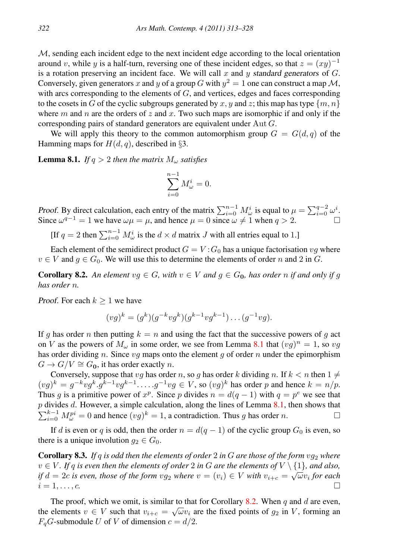$M$ , sending each incident edge to the next incident edge according to the local orientation around v, while y is a half-turn, reversing one of these incident edges, so that  $z = (xy)^{-1}$ is a rotation preserving an incident face. We will call x and y standard generators of  $G$ . Conversely, given generators x and y of a group G with  $y^2 = 1$  one can construct a map M, with arcs corresponding to the elements of  $G$ , and vertices, edges and faces corresponding to the cosets in G of the cyclic subgroups generated by x, y and z; this map has type  $\{m, n\}$ where m and n are the orders of z and x. Two such maps are isomorphic if and only if the corresponding pairs of standard generators are equivalent under Aut G.

We will apply this theory to the common automorphism group  $G = G(d, q)$  of the Hamming maps for  $H(d, q)$ , described in §3.

<span id="page-9-0"></span>**Lemma 8.1.** *If*  $q > 2$  *then the matrix*  $M_{\omega}$  *satisfies* 

$$
\sum_{i=0}^{n-1} M_{\omega}^i = 0.
$$

Proof. By direct calculation, each entry of the matrix  $\sum_{i=0}^{n-1} M_{\omega}^i$  is equal to  $\mu = \sum_{i=0}^{q-2} \omega^i$ . Since  $\omega^{q-1} = 1$  we have  $\omega \mu = \mu$ , and hence  $\mu = 0$  since  $\omega \neq 1$  when  $q > 2$ .

[If  $q = 2$  then  $\sum_{i=0}^{n-1} M_{\omega}^i$  is the  $d \times d$  matrix J with all entries equal to 1.]

Each element of the semidirect product  $G = V : G_0$  has a unique factorisation  $vg$  where  $v \in V$  and  $g \in G_0$ . We will use this to determine the elements of order n and 2 in G.

<span id="page-9-1"></span>**Corollary 8.2.** An element  $vg \in G$ , with  $v \in V$  and  $g \in G_0$ , has order n if and only if g *has order* n*.*

Proof. For each  $k \geq 1$  we have

$$
(vg)^k = (g^k)(g^{-k}vg^k)(g^{k-1}vg^{k-1})\dots(g^{-1}vg).
$$

If g has order n then putting  $k = n$  and using the fact that the successive powers of g act on V as the powers of  $M_{\omega}$  in some order, we see from Lemma [8.1](#page-9-0) that  $(vg)^n = 1$ , so  $vg$ has order dividing n. Since  $vq$  maps onto the element q of order n under the epimorphism  $G \to G/V \cong G_0$ , it has order exactly n.

Conversely, suppose that  $vq$  has order n, so q has order k dividing n. If  $k < n$  then  $1 \neq \emptyset$  $(vg)^k = g^{-k}vg^k \cdot g^{k-1}vg^{k-1} \cdot \ldots \cdot g^{-1}vg \in V$ , so  $(vg)^k$  has order p and hence  $k = n/p$ . Thus g is a primitive power of  $x^p$ . Since p divides  $n = d(q - 1)$  with  $q = p^e$  we see that  $p$  divides  $d$ . However, a simple calculation, along the lines of Lemma [8.1,](#page-9-0) then shows that  $\sum_{i=0}^{k-1} M_{\omega}^{pi} = 0$  and hence  $(vg)^k = 1$ , a contradiction. Thus g has order n.

If d is even or q is odd, then the order  $n = d(q - 1)$  of the cyclic group  $G_0$  is even, so there is a unique involution  $g_2 \in G_0$ .

<span id="page-9-2"></span>**Corollary 8.3.** *If q is odd then the elements of order* 2 *in* G *are those of the form*  $vg_2$  *where*  $v ∈ V$ *. If* q is even then the elements of order 2 in G are the elements of  $V \setminus \{1\}$ *, and also, if*  $d = 2c$  *is even, those of the form*  $vg_2$  *where*  $v = (v_i) \in V$  *with*  $v_{i+c} = \sqrt{\omega}v_i$  for each  $i = 1, \ldots, c.$ 

The proof, which we omit, is similar to that for Corollary [8.2.](#page-9-1) When q and d are even, the elements  $v \in V$  such that  $v_{i+c} = \sqrt{\omega} v_i$  are the fixed points of  $g_2$  in V, forming an  $F<sub>a</sub>G$ -submodule U of V of dimension  $c = d/2$ .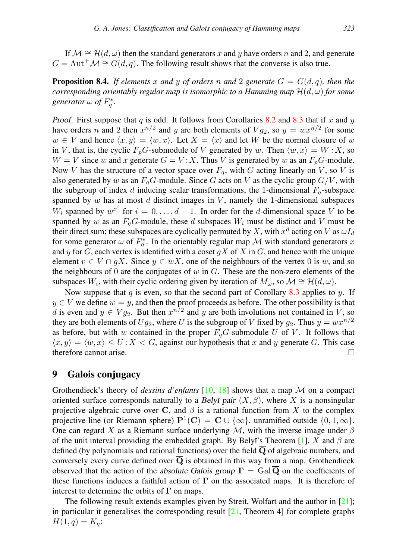If  $\mathcal{M} \cong \mathcal{H}(d,\omega)$  then the standard generators x and y have orders n and 2, and generate  $G = \text{Aut}^+ \mathcal{M} \cong G(d, q)$ . The following result shows that the converse is also true.

<span id="page-10-0"></span>**Proposition 8.4.** If elements x and y of orders n and 2 generate  $G = G(d, q)$ , then the *corresponding orientably regular map is isomorphic to a Hamming map*  $\mathcal{H}(d,\omega)$  *for some* generator  $\omega$  of  $F_q^*$ .

Proof. First suppose that  $q$  is odd. It follows from Corollaries [8.2](#page-9-1) and [8.3](#page-9-2) that if  $x$  and  $y$ have orders *n* and 2 then  $x^{n/2}$  and *y* are both elements of  $V g_2$ , so  $y = wx^{n/2}$  for some  $w \in V$  and hence  $\langle x, y \rangle = \langle w, x \rangle$ . Let  $X = \langle x \rangle$  and let W be the normal closure of w in V, that is, the cyclic  $F_pG$ -submodule of V generated by w. Then  $\langle w, x \rangle = W : X$ , so  $W = V$  since w and x generate  $G = V : X$ . Thus V is generated by w as an  $F_pG$ -module. Now V has the structure of a vector space over  $F_q$ , with G acting linearly on V, so V is also generated by w as an  $F_qG$ -module. Since G acts on V as the cyclic group  $G/V$ , with the subgroup of index d inducing scalar transformations, the 1-dimensional  $F_q$ -subspace spanned by  $w$  has at most  $d$  distinct images in  $V$ , namely the 1-dimensional subspaces  $W_i$  spanned by  $w^{x^i}$  for  $i = 0, \ldots, d - 1$ . In order for the *d*-dimensional space V to be spanned by w as an  $F_q$ G-module, these d subspaces  $W_i$  must be distinct and V must be their direct sum; these subspaces are cyclically permuted by X, with  $x^d$  acting on V as  $\omega I_d$ for some generator  $\omega$  of  $F_q^*$ . In the orientably regular map M with standard generators x and y for G, each vertex is identified with a coset  $gX$  of X in G, and hence with the unique element  $v \in V \cap gX$ . Since  $y \in wX$ , one of the neighbours of the vertex 0 is w, and so the neighbours of  $0$  are the conjugates of  $w$  in  $G$ . These are the non-zero elements of the subspaces W<sub>i</sub>, with their cyclic ordering given by iteration of  $M_{\omega}$ , so  $\mathcal{M} \cong \mathcal{H}(d, \omega)$ .

Now suppose that q is even, so that the second part of Corollary  $8.3$  applies to y. If  $y \in V$  we define  $w = y$ , and then the proof proceeds as before. The other possibility is that d is even and  $y \in Vg_2$ . But then  $x^{n/2}$  and y are both involutions not contained in V, so they are both elements of  $Uq_2$ , where U is the subgroup of V fixed by  $q_2$ . Thus  $y = wx^{n/2}$ as before, but with w contained in the proper  $F_qG$ -submodule U of V. It follows that  $\langle x, y \rangle = \langle w, x \rangle \leq U : X < G$ , against our hypothesis that x and y generate G. This case therefore cannot arise.

#### 9 Galois conjugacy

Grothendieck's theory of *dessins d'enfants* [\[10,](#page-14-6) [18\]](#page-15-4) shows that a map M on a compact oriented surface corresponds naturally to a Belyĭ pair  $(X, \beta)$ , where X is a nonsingular projective algebraic curve over C, and  $\beta$  is a rational function from X to the complex projective line (or Riemann sphere)  $\mathbf{P}^1(\mathbf{C}) = \mathbf{C} \cup \{ \infty \}$ , unramified outside  $\{0, 1, \infty \}$ . One can regard X as a Riemann surface underlying  $M$ , with the inverse image under  $\beta$ of the unit interval providing the embedded graph. By Belyĭ's Theorem [\[1\]](#page-14-10), X and  $\beta$  are defined (by polynomials and rational functions) over the field  $\overline{Q}$  of algebraic numbers, and conversely every curve defined over  $\overline{Q}$  is obtained in this way from a map. Grothendieck observed that the action of the absolute Galois group  $\Gamma = \text{Gal}\,\mathbf{Q}$  on the coefficients of these functions induces a faithful action of  $\Gamma$  on the associated maps. It is therefore of interest to determine the orbits of  $\Gamma$  on maps.

The following result extends examples given by Streit, Wolfart and the author in [\[21\]](#page-15-5); in particular it generalises the corresponding result  $[21,$  Theorem 4] for complete graphs  $H(1, q) = K_q$ :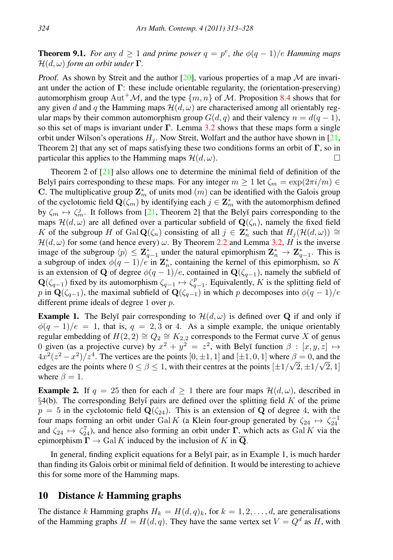**Theorem 9.1.** *For any*  $d \geq 1$  *and prime power*  $q = p^e$ *, the*  $\phi(q-1)/e$  *Hamming maps*  $\mathcal{H}(d,\omega)$  *form an orbit under*  $\Gamma$ .

Proof. As shown by Streit and the author  $[20]$ , various properties of a map M are invariant under the action of  $\Gamma$ : these include orientable regularity, the (orientation-preserving) automorphism group  $\text{Aut}^+\mathcal{M}$ , and the type  $\{m, n\}$  of  $\mathcal{M}$ . Proposition [8.4](#page-10-0) shows that for any given d and q the Hamming maps  $\mathcal{H}(d,\omega)$  are characterised among all orientably regular maps by their common automorphism group  $G(d, q)$  and their valency  $n = d(q - 1)$ , so this set of maps is invariant under  $\Gamma$ . Lemma [3.2](#page-4-0) shows that these maps form a single orbit under Wilson's operations  $H_i$ . Now Streit, Wolfart and the author have shown in [\[21,](#page-15-5) Theorem 2] that any set of maps satisfying these two conditions forms an orbit of Γ, so in particular this applies to the Hamming maps  $\mathcal{H}(d,\omega)$ .

Theorem 2 of  $[21]$  also allows one to determine the minimal field of definition of the Belyĭ pairs corresponding to these maps. For any integer  $m \geq 1$  let  $\zeta_m = \exp(2\pi i/m) \in$ C. The multiplicative group  $\mathbf{Z}_m^*$  of units mod  $(m)$  can be identified with the Galois group of the cyclotomic field  $\mathbf{Q}(\zeta_m)$  by identifying each  $j \in \mathbf{Z}_m^*$  with the automorphism defined by  $\zeta_m \mapsto \zeta_m^j$ . It follows from [\[21,](#page-15-5) Theorem 2] that the Belyĭ pairs corresponding to the maps  $\mathcal{H}(d,\omega)$  are all defined over a particular subfield of  $\mathbf{Q}(\zeta_n)$ , namely the fixed field K of the subgroup H of Gal  $\mathbf{Q}(\zeta_n)$  consisting of all  $j \in \mathbf{Z}_n^*$  such that  $H_j(\mathcal{H}(d,\omega)) \cong$  $\mathcal{H}(d,\omega)$  for some (and hence every)  $\omega$ . By Theorem [2.2](#page-2-2) and Lemma [3.2,](#page-4-0) H is the inverse image of the subgroup  $\langle p \rangle \leq \mathbf{Z}_{q-1}^*$  under the natural epimorphism  $\mathbf{Z}_n^* \to \mathbf{Z}_{q-1}^*$ . This is a subgroup of index  $\phi(q-1)/e$  in  $\mathbf{Z}_n^*$ , containing the kernel of this epimorphism, so K is an extension of Q of degree  $\phi(q-1)/e$ , contained in  $\mathbf{Q}(\zeta_{q-1})$ , namely the subfield of  $\mathbf{Q}(\zeta_{q-1})$  fixed by its automorphism  $\zeta_{q-1} \mapsto \zeta_{q-1}^p$ . Equivalently, K is the splitting field of p in  $\mathbf{Q}(\zeta_{q-1})$ , the maximal subfield of  $\mathbf{Q}(\zeta_{q-1})$  in which p decomposes into  $\phi(q-1)/e$ different prime ideals of degree 1 over p.

**Example 1.** The Belyĭ pair corresponding to  $\mathcal{H}(d,\omega)$  is defined over Q if and only if  $\phi(q-1)/e = 1$ , that is,  $q = 2, 3$  or 4. As a simple example, the unique orientably regular embedding of  $H(2, 2) \cong Q_2 \cong K_{2,2}$  corresponds to the Fermat curve X of genus 0 given (as a projective curve) by  $x^2 + y^2 = z^2$ , with Belyĭ function  $\beta : [x, y, z] \mapsto$  $4x^2(z^2-x^2)/z^4$ . The vertices are the points  $[0, \pm 1, 1]$  and  $[\pm 1, 0, 1]$  where  $\beta = 0$ , and the edges are the points where  $0 \le \beta \le 1$ , with their centres at the points  $[\pm 1/\sqrt{2}, \pm 1/\sqrt{2}, 1]$ where  $\beta = 1$ .

**Example 2.** If  $q = 25$  then for each  $d \ge 1$  there are four maps  $\mathcal{H}(d,\omega)$ , described in  $\S$ 4(b). The corresponding Belyĭ pairs are defined over the splitting field K of the prime  $p = 5$  in the cyclotomic field  $\mathbf{Q}(\zeta_{24})$ . This is an extension of Q of degree 4, with the four maps forming an orbit under Gal K (a Klein four-group generated by  $\zeta_{24} \mapsto \zeta_{24}^{-1}$ and  $\zeta_{24} \mapsto \zeta_{24}^7$ ), and hence also forming an orbit under  $\Gamma$ , which acts as Gal K via the epimorphism  $\Gamma \to$  Gal K induced by the inclusion of K in  $\overline{Q}$ .

In general, finding explicit equations for a Belyĭ pair, as in Example 1, is much harder than finding its Galois orbit or minimal field of definition. It would be interesting to achieve this for some more of the Hamming maps.

#### 10 Distance k Hamming graphs

The distance k Hamming graphs  $H_k = H(d, q)_k$ , for  $k = 1, 2, ..., d$ , are generalisations of the Hamming graphs  $H = H(d, q)$ . They have the same vertex set  $V = Q<sup>d</sup>$  as H, with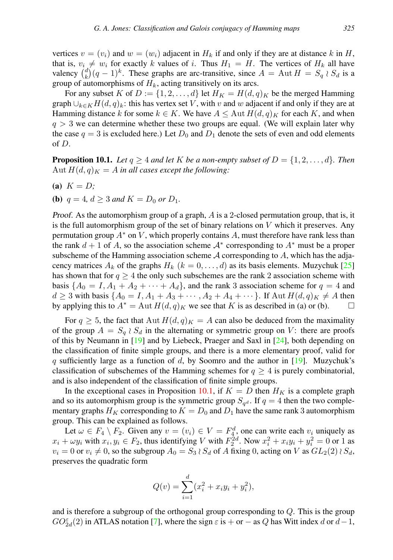vertices  $v = (v_i)$  and  $w = (w_i)$  adjacent in  $H_k$  if and only if they are at distance k in H, that is,  $v_i \neq w_i$  for exactly k values of i. Thus  $H_1 = H$ . The vertices of  $H_k$  all have valency  $\binom{d}{k}(q-1)^k$ . These graphs are arc-transitive, since  $A = \text{Aut } H = S_q \wr S_d$  is a group of automorphisms of  $H_k$ , acting transitively on its arcs.

For any subset K of  $D := \{1, 2, \ldots, d\}$  let  $H_K = H(d, q)_K$  be the merged Hamming graph  $\bigcup_{k\in K}H(d,q)_k$ : this has vertex set V, with v and w adjacent if and only if they are at Hamming distance k for some  $k \in K$ . We have  $A \le \text{Aut } H(d,q)_K$  for each K, and when  $q > 3$  we can determine whether these two groups are equal. (We will explain later why the case  $q = 3$  is excluded here.) Let  $D_0$  and  $D_1$  denote the sets of even and odd elements of D.

<span id="page-12-0"></span>**Proposition 10.1.** *Let*  $q \ge 4$  *and let* K *be a non-empty subset of*  $D = \{1, 2, ..., d\}$ *. Then* Aut  $H(d, q)_K = A$  *in all cases except the following:* 

- (a)  $K = D$ ;
- (**b**)  $q = 4$ ,  $d > 3$  *and*  $K = D_0$  *or*  $D_1$ *.*

Proof. As the automorphism group of a graph,  $\tilde{A}$  is a 2-closed permutation group, that is, it is the full automorphism group of the set of binary relations on  $V$  which it preserves. Any permutation group  $A^*$  on V, which properly contains A, must therefore have rank less than the rank  $d + 1$  of A, so the association scheme  $A^*$  corresponding to  $A^*$  must be a proper subscheme of the Hamming association scheme  $A$  corresponding to  $A$ , which has the adjacency matrices  $A_k$  of the graphs  $H_k$   $(k = 0, \ldots, d)$  as its basis elements. Muzychuk [\[25\]](#page-15-3) has shown that for  $q \geq 4$  the only such subschemes are the rank 2 association scheme with basis  $\{A_0 = I, A_1 + A_2 + \cdots + A_d\}$ , and the rank 3 association scheme for  $q = 4$  and  $d \geq 3$  with basis  $\{A_0 = I, A_1 + A_3 + \cdots, A_2 + A_4 + \cdots\}$ . If  $\text{Aut } H(d, q)_K \neq A$  then by applying this to  $A^* = \text{Aut } H(d, q)_K$  we see that K is as described in (a) or (b).

For  $q \ge 5$ , the fact that Aut  $H(d,q)_K = A$  can also be deduced from the maximality of the group  $A = S_q \wr S_d$  in the alternating or symmetric group on V: there are proofs of this by Neumann in [\[19\]](#page-15-11) and by Liebeck, Praeger and Saxl in [\[24\]](#page-15-12), both depending on the classification of finite simple groups, and there is a more elementary proof, valid for q sufficiently large as a function of  $d$ , by Soomro and the author in [\[19\]](#page-15-11). Muzychuk's classification of subschemes of the Hamming schemes for  $q \geq 4$  is purely combinatorial, and is also independent of the classification of finite simple groups.

In the exceptional cases in Proposition [10.1,](#page-12-0) if  $K = D$  then  $H_K$  is a complete graph and so its automorphism group is the symmetric group  $S_{q^d}$ . If  $q = 4$  then the two complementary graphs  $H_K$  corresponding to  $K = D_0$  and  $D_1$  have the same rank 3 automorphism group. This can be explained as follows.

Let  $\omega \in F_4 \setminus F_2$ . Given any  $v = (v_i) \in V = F_4^d$ , one can write each  $v_i$  uniquely as  $x_i + \omega y_i$  with  $x_i, y_i \in F_2$ , thus identifying V with  $F_2^{2d}$ . Now  $x_i^2 + x_i y_i + y_i^2 = 0$  or 1 as  $v_i = 0$  or  $v_i \neq 0$ , so the subgroup  $A_0 = S_3 \wr S_d$  of A fixing 0, acting on V as  $GL_2(2) \wr S_d$ , preserves the quadratic form

$$
Q(v) = \sum_{i=1}^{d} (x_i^2 + x_i y_i + y_i^2),
$$

and is therefore a subgroup of the orthogonal group corresponding to  $Q$ . This is the group  $GO_{2d}^{\varepsilon}(2)$  in ATLAS notation [\[7\]](#page-14-11), where the sign  $\varepsilon$  is + or − as Q has Witt index d or  $d-1$ ,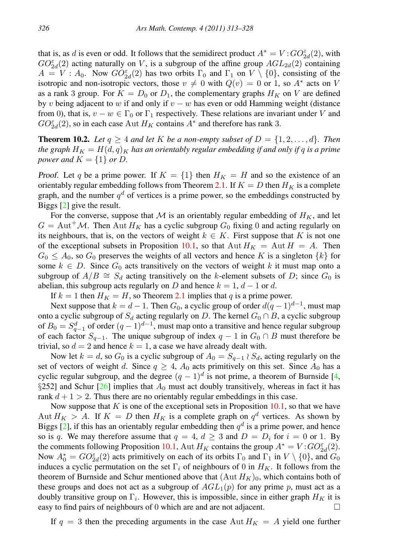that is, as d is even or odd. It follows that the semidirect product  $A^* = V$ :  $GO_{2d}^{\varepsilon}(2)$ , with  $GO_{2d}^{\varepsilon}(2)$  acting naturally on V, is a subgroup of the affine group  $AGL_{2d}(2)$  containing  $A = V : A_0$ . Now  $GO_{2d}^{\varepsilon}(2)$  has two orbits  $\Gamma_0$  and  $\Gamma_1$  on  $V \setminus \{0\}$ , consisting of the isotropic and non-isotropic vectors, those  $v \neq 0$  with  $Q(v) = 0$  or 1, so  $A^*$  acts on V as a rank 3 group. For  $K = D_0$  or  $D_1$ , the complementary graphs  $H_K$  on V are defined by v being adjacent to w if and only if  $v - w$  has even or odd Hamming weight (distance from 0), that is,  $v - w \in \Gamma_0$  or  $\Gamma_1$  respectively. These relations are invariant under V and  $GO_{2d}^{\varepsilon}(2)$ , so in each case Aut  $H_K$  contains  $A^*$  and therefore has rank 3.

**Theorem 10.2.** Let  $q \ge 4$  and let K be a non-empty subset of  $D = \{1, 2, \ldots, d\}$ . Then *the graph*  $H_K = H(d,q)_K$  *has an orientably regular embedding if and only if q is a prime power and*  $K = \{1\}$  *or D.* 

Proof. Let q be a prime power. If  $K = \{1\}$  then  $H_K = H$  and so the existence of an orientably regular embedding follows from Theorem [2.1.](#page-2-1) If  $K = D$  then  $H_K$  is a complete graph, and the number  $q<sup>d</sup>$  of vertices is a prime power, so the embeddings constructed by Biggs [\[2\]](#page-14-0) give the result.

For the converse, suppose that M is an orientably regular embedding of  $H_K$ , and let  $G = \text{Aut}^+ \mathcal{M}$ . Then  $\text{Aut } H_K$  has a cyclic subgroup  $G_0$  fixing 0 and acting regularly on its neighbours, that is, on the vectors of weight  $k \in K$ . First suppose that K is not one of the exceptional subsets in Proposition [10.1,](#page-12-0) so that Aut  $H_K =$  Aut  $H = A$ . Then  $G_0 \nleq A_0$ , so  $G_0$  preserves the weights of all vectors and hence K is a singleton  $\{k\}$  for some  $k \in D$ . Since  $G_0$  acts transitively on the vectors of weight k it must map onto a subgroup of  $A/B \cong S_d$  acting transitively on the k-element subsets of D; since  $G_0$  is abelian, this subgroup acts regularly on D and hence  $k = 1, d - 1$  or d.

If  $k = 1$  then  $H<sub>K</sub> = H$ , so Theorem [2.1](#page-2-1) implies that q is a prime power.

Next suppose that  $k = d - 1$ . Then  $G_0$ , a cyclic group of order  $d(q - 1)^{d-1}$ , must map onto a cyclic subgroup of  $S_d$  acting regularly on D. The kernel  $G_0 \cap B$ , a cyclic subgroup of  $B_0 = S_{q-1}^d$  of order  $(q-1)^{d-1}$ , must map onto a transitive and hence regular subgroup of each factor  $S_{q-1}$ . The unique subgroup of index  $q-1$  in  $G_0 \cap B$  must therefore be trivial, so  $d = 2$  and hence  $k = 1$ , a case we have already dealt with.

Now let  $k = d$ , so  $G_0$  is a cyclic subgroup of  $A_0 = S_{q-1} \wr S_d$ , acting regularly on the set of vectors of weight d. Since  $q \geq 4$ ,  $A_0$  acts primitively on this set. Since  $A_0$  has a cyclic regular subgroup, and the degree  $(q-1)^d$  is not prime, a theorem of Burnside [\[4,](#page-14-12) §252] and Schur [\[26\]](#page-15-13) implies that  $A_0$  must act doubly transitively, whereas in fact it has rank  $d + 1 > 2$ . Thus there are no orientably regular embeddings in this case.

Now suppose that  $K$  is one of the exceptional sets in Proposition [10.1,](#page-12-0) so that we have Aut  $H_K > A$ . If  $K = D$  then  $H_K$  is a complete graph on  $q^d$  vertices. As shown by Biggs [\[2\]](#page-14-0), if this has an orientably regular embedding then  $q<sup>d</sup>$  is a prime power, and hence so is q. We may therefore assume that  $q = 4$ ,  $d \geq 3$  and  $D = D_i$  for  $i = 0$  or 1. By the comments following Proposition [10.1,](#page-12-0) Aut  $H_K$  contains the group  $A^* = V : GO_{2d}^{\varepsilon}(2)$ . Now  $A_0^* = GO_{2d}^{\varepsilon}(2)$  acts primitively on each of its orbits  $\Gamma_0$  and  $\Gamma_1$  in  $V \setminus \{0\}$ , and  $G_0$ induces a cyclic permutation on the set  $\Gamma_i$  of neighbours of 0 in  $H_K$ . It follows from the theorem of Burnside and Schur mentioned above that  $(Aut H_K)_0$ , which contains both of these groups and does not act as a subgroup of  $AGL_1(p)$  for any prime p, must act as a doubly transitive group on  $\Gamma_i$ . However, this is impossible, since in either graph  $H_K$  it is easy to find pairs of neighbours of 0 which are and are not adjacent.  $\Box$ 

If  $q = 3$  then the preceding arguments in the case Aut  $H_K = A$  yield one further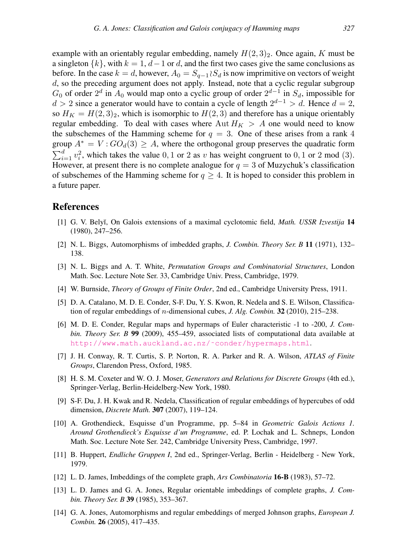example with an orientably regular embedding, namely  $H(2, 3)_2$ . Once again, K must be a singleton  $\{k\}$ , with  $k = 1$ ,  $d - 1$  or d, and the first two cases give the same conclusions as before. In the case  $k = d$ , however,  $A_0 = S_{a-1} \wr S_d$  is now imprimitive on vectors of weight d, so the preceding argument does not apply. Instead, note that a cyclic regular subgroup  $G_0$  of order  $2^d$  in  $A_0$  would map onto a cyclic group of order  $2^{d-1}$  in  $S_d$ , impossible for  $d > 2$  since a generator would have to contain a cycle of length  $2^{d-1} > d$ . Hence  $d = 2$ , so  $H_K = H(2,3)_2$ , which is isomorphic to  $H(2,3)$  and therefore has a unique orientably regular embedding. To deal with cases where  $\text{Aut } H_K > A$  one would need to know the subschemes of the Hamming scheme for  $q = 3$ . One of these arises from a rank 4 group  $A^* = V : GO_d(3) \geq A$ , where the orthogonal group preserves the quadratic form  $\sum_{i=1}^{d} v_i^2$ , which takes the value 0, 1 or 2 as v has weight congruent to 0, 1 or 2 mod (3). However, at present there is no complete analogue for  $q = 3$  of Muzychuk's classification of subschemes of the Hamming scheme for  $q \geq 4$ . It is hoped to consider this problem in a future paper.

#### <span id="page-14-10"></span>References

- [1] G. V. Bely˘ı, On Galois extensions of a maximal cyclotomic field, *Math. USSR Izvestija* 14 (1980), 247–256.
- <span id="page-14-0"></span>[2] N. L. Biggs, Automorphisms of imbedded graphs, *J. Combin. Theory Ser. B* 11 (1971), 132– 138.
- [3] N. L. Biggs and A. T. White, *Permutation Groups and Combinatorial Structures*, London Math. Soc. Lecture Note Ser. 33, Cambridge Univ. Press, Cambridge, 1979.
- <span id="page-14-12"></span>[4] W. Burnside, *Theory of Groups of Finite Order*, 2nd ed., Cambridge University Press, 1911.
- <span id="page-14-4"></span>[5] D. A. Catalano, M. D. E. Conder, S-F. Du, Y. S. Kwon, R. Nedela and S. E. Wilson, Classification of regular embeddings of n-dimensional cubes, *J. Alg. Combin.* 32 (2010), 215–238.
- <span id="page-14-7"></span>[6] M. D. E. Conder, Regular maps and hypermaps of Euler characteristic -1 to -200, *J. Combin. Theory Ser. B* 99 (2009), 455–459, associated lists of computational data available at [http://www.math.auckland.ac.nz/˜conder/hypermaps.html](http://www.math.auckland.ac.nz/~conder/hypermaps.html).
- <span id="page-14-11"></span>[7] J. H. Conway, R. T. Curtis, S. P. Norton, R. A. Parker and R. A. Wilson, *ATLAS of Finite Groups*, Clarendon Press, Oxford, 1985.
- <span id="page-14-8"></span>[8] H. S. M. Coxeter and W. O. J. Moser, *Generators and Relations for Discrete Groups* (4th ed.), Springer-Verlag, Berlin-Heidelberg-New York, 1980.
- <span id="page-14-3"></span>[9] S-F. Du, J. H. Kwak and R. Nedela, Classification of regular embeddings of hypercubes of odd dimension, *Discrete Math.* 307 (2007), 119–124.
- <span id="page-14-6"></span>[10] A. Grothendieck, Esquisse d'un Programme, pp. 5–84 in *Geometric Galois Actions 1. Around Grothendieck's Esquisse d'un Programme*, ed. P. Lochak and L. Schneps, London Math. Soc. Lecture Note Ser. 242, Cambridge University Press, Cambridge, 1997.
- <span id="page-14-9"></span>[11] B. Huppert, *Endliche Gruppen I*, 2nd ed., Springer-Verlag, Berlin - Heidelberg - New York, 1979.
- <span id="page-14-5"></span><span id="page-14-1"></span>[12] L. D. James, Imbeddings of the complete graph, *Ars Combinatoria* 16-B (1983), 57–72.
- [13] L. D. James and G. A. Jones, Regular orientable imbeddings of complete graphs, *J. Combin. Theory Ser. B* 39 (1985), 353–367.
- <span id="page-14-2"></span>[14] G. A. Jones, Automorphisms and regular embeddings of merged Johnson graphs, *European J. Combin.* 26 (2005), 417–435.